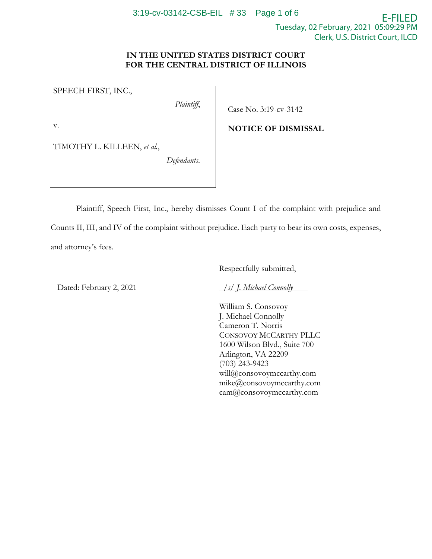## **IN THE UNITED STATES DISTRICT COURT FOR THE CENTRAL DISTRICT OF ILLINOIS**

SPEECH FIRST, INC.,

*Plaintiff*,

Case No. 3:19-cv-3142

**NOTICE OF DISMISSAL**

v.

TIMOTHY L. KILLEEN, *et al.*,

*Defendants*.

Plaintiff, Speech First, Inc., hereby dismisses Count I of the complaint with prejudice and Counts II, III, and IV of the complaint without prejudice. Each party to bear its own costs, expenses, and attorney's fees.

Respectfully submitted,

Dated: February 2, 2021

*/s/ J. Michael Connolly* 

William S. Consovoy J. Michael Connolly Cameron T. Norris CONSOVOY MCCARTHY PLLC 1600 Wilson Blvd., Suite 700 Arlington, VA 22209 (703) 243-9423 will@consovoymccarthy.com mike@consovoymccarthy.com cam@consovoymccarthy.com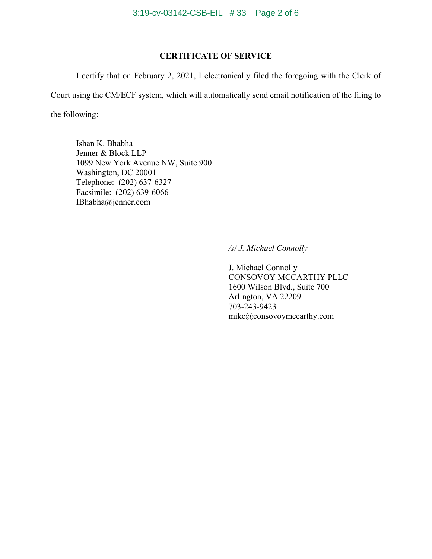# **CERTIFICATE OF SERVICE**

I certify that on February 2, 2021, I electronically filed the foregoing with the Clerk of

Court using the CM/ECF system, which will automatically send email notification of the filing to the following:

Ishan K. Bhabha Jenner & Block LLP 1099 New York Avenue NW, Suite 900 Washington, DC 20001 Telephone: (202) 637-6327 Facsimile: (202) 639-6066 IBhabha@jenner.com

# */s/ J. Michael Connolly*

J. Michael Connolly CONSOVOY MCCARTHY PLLC 1600 Wilson Blvd., Suite 700 Arlington, VA 22209 703-243-9423 mike@consovoymccarthy.com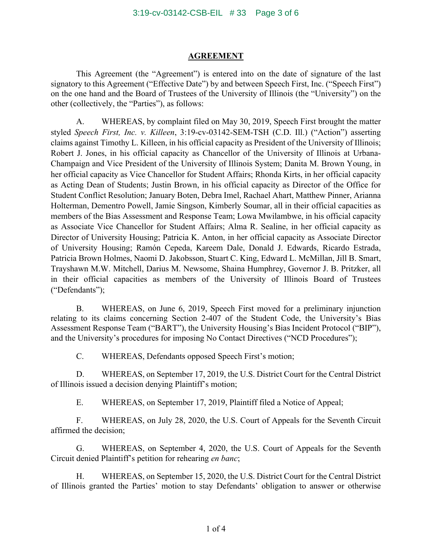#### **AGREEMENT**

This Agreement (the "Agreement") is entered into on the date of signature of the last signatory to this Agreement ("Effective Date") by and between Speech First, Inc. ("Speech First") on the one hand and the Board of Trustees of the University of Illinois (the "University") on the other (collectively, the "Parties"), as follows:

A. WHEREAS, by complaint filed on May 30, 2019, Speech First brought the matter styled *Speech First, Inc. v. Killeen*, 3:19-cv-03142-SEM-TSH (C.D. Ill.) ("Action") asserting claims against Timothy L. Killeen, in his official capacity as President of the University of Illinois; Robert J. Jones, in his official capacity as Chancellor of the University of Illinois at Urbana-Champaign and Vice President of the University of Illinois System; Danita M. Brown Young, in her official capacity as Vice Chancellor for Student Affairs; Rhonda Kirts, in her official capacity as Acting Dean of Students; Justin Brown, in his official capacity as Director of the Office for Student Conflict Resolution; January Boten, Debra Imel, Rachael Ahart, Matthew Pinner, Arianna Holterman, Dementro Powell, Jamie Singson, Kimberly Soumar, all in their official capacities as members of the Bias Assessment and Response Team; Lowa Mwilambwe, in his official capacity as Associate Vice Chancellor for Student Affairs; Alma R. Sealine, in her official capacity as Director of University Housing; Patricia K. Anton, in her official capacity as Associate Director of University Housing; Ramón Cepeda, Kareem Dale, Donald J. Edwards, Ricardo Estrada, Patricia Brown Holmes, Naomi D. Jakobsson, Stuart C. King, Edward L. McMillan, Jill B. Smart, Trayshawn M.W. Mitchell, Darius M. Newsome, Shaina Humphrey, Governor J. B. Pritzker, all in their official capacities as members of the University of Illinois Board of Trustees ("Defendants");

B. WHEREAS, on June 6, 2019, Speech First moved for a preliminary injunction relating to its claims concerning Section 2-407 of the Student Code, the University's Bias Assessment Response Team ("BART"), the University Housing's Bias Incident Protocol ("BIP"), and the University's procedures for imposing No Contact Directives ("NCD Procedures");

C. WHEREAS, Defendants opposed Speech First's motion;

D. WHEREAS, on September 17, 2019, the U.S. District Court for the Central District of Illinois issued a decision denying Plaintiff's motion;

E. WHEREAS, on September 17, 2019, Plaintiff filed a Notice of Appeal;

F. WHEREAS, on July 28, 2020, the U.S. Court of Appeals for the Seventh Circuit affirmed the decision;

G. WHEREAS, on September 4, 2020, the U.S. Court of Appeals for the Seventh Circuit denied Plaintiff's petition for rehearing *en banc*;

H. WHEREAS, on September 15, 2020, the U.S. District Court for the Central District of Illinois granted the Parties' motion to stay Defendants' obligation to answer or otherwise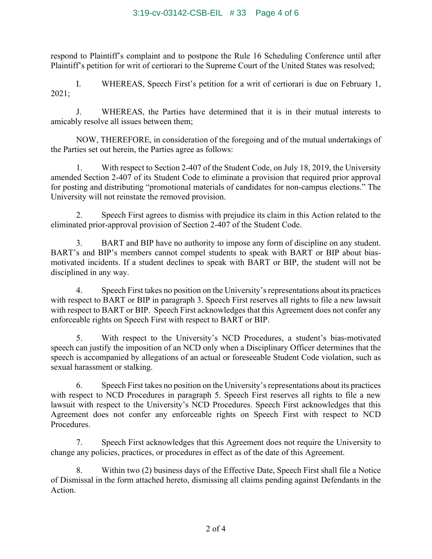### 3:19-cv-03142-CSB-EIL # 33 Page 4 of 6

respond to Plaintiff's complaint and to postpone the Rule 16 Scheduling Conference until after Plaintiff's petition for writ of certiorari to the Supreme Court of the United States was resolved;

I. WHEREAS, Speech First's petition for a writ of certiorari is due on February 1, 2021;

J. WHEREAS, the Parties have determined that it is in their mutual interests to amicably resolve all issues between them;

NOW, THEREFORE, in consideration of the foregoing and of the mutual undertakings of the Parties set out herein, the Parties agree as follows:

1. With respect to Section 2-407 of the Student Code, on July 18, 2019, the University amended Section 2-407 of its Student Code to eliminate a provision that required prior approval for posting and distributing "promotional materials of candidates for non-campus elections." The University will not reinstate the removed provision.

2. Speech First agrees to dismiss with prejudice its claim in this Action related to the eliminated prior-approval provision of Section 2-407 of the Student Code.

3. BART and BIP have no authority to impose any form of discipline on any student. BART's and BIP's members cannot compel students to speak with BART or BIP about biasmotivated incidents. If a student declines to speak with BART or BIP, the student will not be disciplined in any way.

4. Speech First takes no position on the University's representations about its practices with respect to BART or BIP in paragraph 3. Speech First reserves all rights to file a new lawsuit with respect to BART or BIP. Speech First acknowledges that this Agreement does not confer any enforceable rights on Speech First with respect to BART or BIP.

5. With respect to the University's NCD Procedures, a student's bias-motivated speech can justify the imposition of an NCD only when a Disciplinary Officer determines that the speech is accompanied by allegations of an actual or foreseeable Student Code violation, such as sexual harassment or stalking.

6. Speech First takes no position on the University's representations about its practices with respect to NCD Procedures in paragraph 5. Speech First reserves all rights to file a new lawsuit with respect to the University's NCD Procedures. Speech First acknowledges that this Agreement does not confer any enforceable rights on Speech First with respect to NCD Procedures.

7. Speech First acknowledges that this Agreement does not require the University to change any policies, practices, or procedures in effect as of the date of this Agreement.

8. Within two (2) business days of the Effective Date, Speech First shall file a Notice of Dismissal in the form attached hereto, dismissing all claims pending against Defendants in the Action.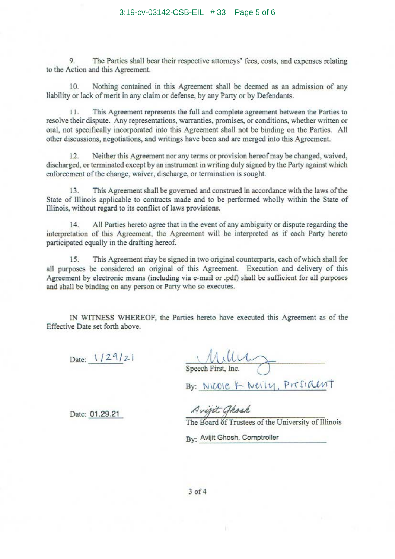9. The Parties shall bear their respective attorneys' fees, costs, and expenses relating to the Action and this Agreement.

10. Nothing contained in this Agreement shall be deemed as an admission of any liability or lack of merit in any claim or defense, by any Party or by Defendants .

11. This Agreement represents the full and complete agreement between the Parties to resolve their dispute. Any representations, warranties, promises, or conditions, whether written or oral, not specifically incorporated into this Agreement shall not be binding on the Parties. All other discussions, negotiations, and writings have been and are merged into this Agreement.

12. Neither this Agreement nor any terms or provision hereof may be changed, waived, discharged, or terminated except by an instrument in writing duly signed by the Party against which enforcement of the change, waiver, discharge, or termination is sought.

13. This Agreement shall be governed and construed in accordance with the laws of the State of Illinois applicable to contracts made and to be performed wholly within the State of Illinois, without regard to its conflict of laws provisions.

14. All Parties hereto agree that in the event of any ambiguity or dispute regarding the interpretation of this Agreement, the Agreement will be interpreted as if each Party hereto participated equally in the drafting hereof.

15. This Agreement may be signed in two original counterparts, each of which shall for all purposes be considered an original of this Agreement. Execution and delivery of this Agreement by electronic means (including via e-mail or .pdf) shall be sufficient for all purposes and shall be binding on any person or Party who so executes.

IN WITNESS WHEREOF , the Parties hereto have executed this Agreement as of the Effective Date set forth above.

Date: 1/29/21

 $MullM$ 

By: NICOIE K. Neily, President

Date: 01.29.21

Avigit Ghosh

The Board of Trustees of the University of Illinois

By: Avijit Ghosh, Comptroller

 $3$  of  $4$